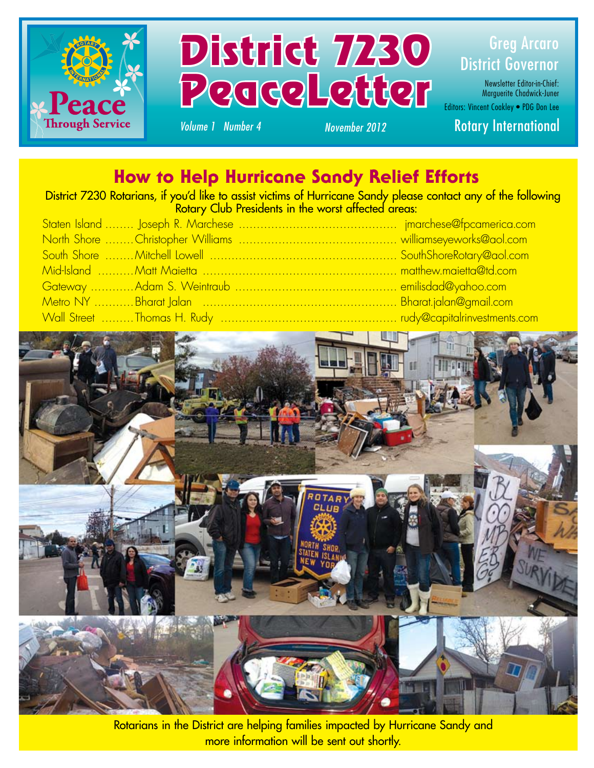



Newsletter Editor-in-Chief: Marguerite Chadwick-Juner Editors: Vincent Coakley • PDG Don Lee

### *Volume 1 Number 4 November 2012* Rotary International

### How to Help Hurricane Sandy Relief Efforts

District 7230 Rotarians, if you'd like to assist victims of Hurricane Sandy please contact any of the following Rotary Club Presidents in the worst affected areas:

| 5taten Island ……… Joseph R. Marchese ………………………………………… jmarchese@fpcamerica.com |  |
|--------------------------------------------------------------------------------|--|
|                                                                                |  |
|                                                                                |  |
| Mid-Island ………Matt Maietta ………………………………………………… matthew.maietta@td.com          |  |
|                                                                                |  |
|                                                                                |  |
| Wall Street ………Thomas H. Rudy ………………………………………………… rudy@capitalrinvestments.com |  |



Rotarians in the District are helping families impacted by Hurricane Sandy and more information will be sent out shortly.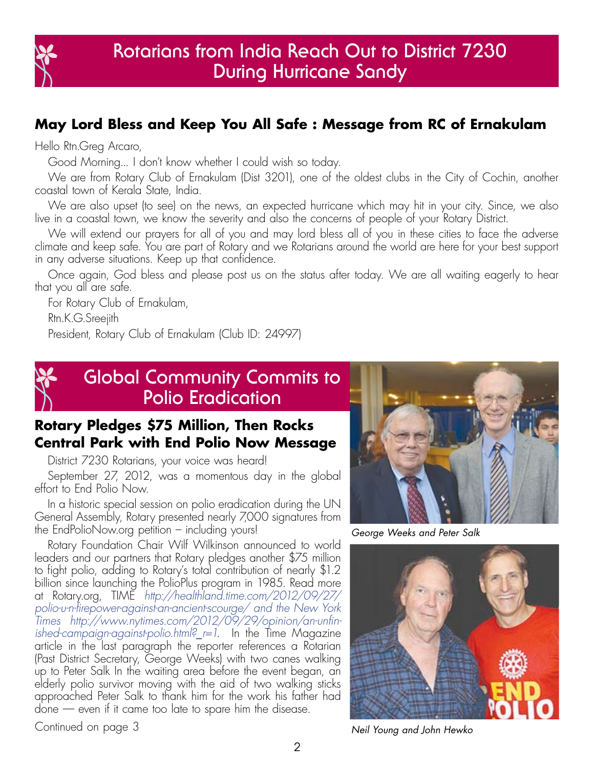

### **May Lord Bless and Keep You All Safe : Message from RC of Ernakulam**

Hello Rtn.Greg Arcaro,

Good Morning... I don't know whether I could wish so today.

We are from Rotary Club of Ernakulam (Dist 3201), one of the oldest clubs in the City of Cochin, another coastal town of Kerala State, India.

We are also upset (to see) on the news, an expected hurricane which may hit in your city. Since, we also live in a coastal town, we know the severity and also the concerns of people of your Rotary District.

We will extend our prayers for all of you and may lord bless all of you in these cities to face the adverse climate and keep safe. You are part of Rotary and we Rotarians around the world are here for your best support in any adverse situations. Keep up that confidence.

Once again, God bless and please post us on the status after today. We are all waiting eagerly to hear that you all are safe.

For Rotary Club of Ernakulam,

Rtn.K.G.Sreejith

President, Rotary Club of Ernakulam (Club ID: 24997)



### **Global Community Commits to Polio Eradication**

### **Rotary Pledges \$75 Million, Then Rocks Central Park with End Polio Now Message**

District 7230 Rotarians, your voice was heard!

September 27, 2012, was a momentous day in the global effort to End Polio Now.

In a historic special session on polio eradication during the UN General Assembly, Rotary presented nearly 7,000 signatures from the EndPolioNow.org petition – including yours!

Rotary Foundation Chair Wilf Wilkinson announced to world leaders and our partners that Rotary pledges another \$75 million to fight polio, adding to Rotary's total contribution of nearly \$1.2 billion since launching the PolioPlus program in 1985. Read more at Rotary.org, TIME *http://healthland.time.com/2012/09/27/ polio-u-n-firepower-against-an-ancient-scourge/ and the New York Times http://www.nytimes.com/2012/09/29/opinion/an-unfinished-campaign-against-polio.html?\_r=1*. In the Time Magazine article in the last paragraph the reporter references a Rotarian (Past District Secretary, George Weeks) with two canes walking up to Peter Salk In the waiting area before the event began, an elderly polio survivor moving with the aid of two walking sticks approached Peter Salk to thank him for the work his father had done — even if it came too late to spare him the disease.



*George Weeks and Peter Salk*



Continued on page 3 *Neil Young and John Hewko*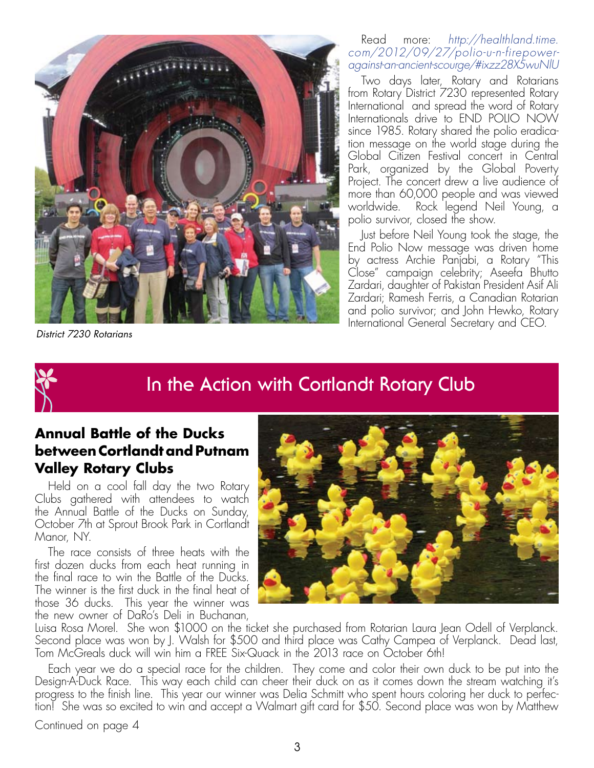

*District 7230 Rotarians*

Read more: *http://healthland.time. com/2012/09/27/polio-u-n-firepoweragainst-an-ancient-scourge/#ixzz28X5wuNlU*

Two days later, Rotary and Rotarians from Rotary District 7230 represented Rotary International and spread the word of Rotary Internationals drive to END POLIO NOW since 1985. Rotary shared the polio eradication message on the world stage during the Global Citizen Festival concert in Central Park, organized by the Global Poverty Project. The concert drew a live audience of more than 60,000 people and was viewed worldwide. Rock legend Neil Young, a polio survivor, closed the show.

Just before Neil Young took the stage, the End Polio Now message was driven home by actress Archie Panjabi, a Rotary "This Close" campaign celebrity; Aseefa Bhutto Zardari, daughter of Pakistan President Asif Ali Zardari; Ramesh Ferris, a Canadian Rotarian and polio survivor; and John Hewko, Rotary International General Secretary and CEO.



### **In the Action with Cortlandt Rotary Club**

### **Annual Battle of the Ducks between Cortlandt and Putnam Valley Rotary Clubs**

Held on a cool fall day the two Rotary Clubs gathered with attendees to watch the Annual Battle of the Ducks on Sunday, October 7th at Sprout Brook Park in Cortlandt Manor, NY.

The race consists of three heats with the first dozen ducks from each heat running in the final race to win the Battle of the Ducks. The winner is the first duck in the final heat of those 36 ducks. This year the winner was the new owner of DaRo's Deli in Buchanan,



Luisa Rosa Morel. She won \$1000 on the ticket she purchased from Rotarian Laura Jean Odell of Verplanck. Second place was won by J. Walsh for \$500 and third place was Cathy Campea of Verplanck. Dead last, Tom McGreals duck will win him a FREE Six-Quack in the 2013 race on October 6th!

Each year we do a special race for the children. They come and color their own duck to be put into the Design-A-Duck Race. This way each child can cheer their duck on as it comes down the stream watching it's progress to the finish line. This year our winner was Delia Schmitt who spent hours coloring her duck to perfection! She was so excited to win and accept a Walmart gift card for \$50. Second place was won by Matthew

Continued on page 4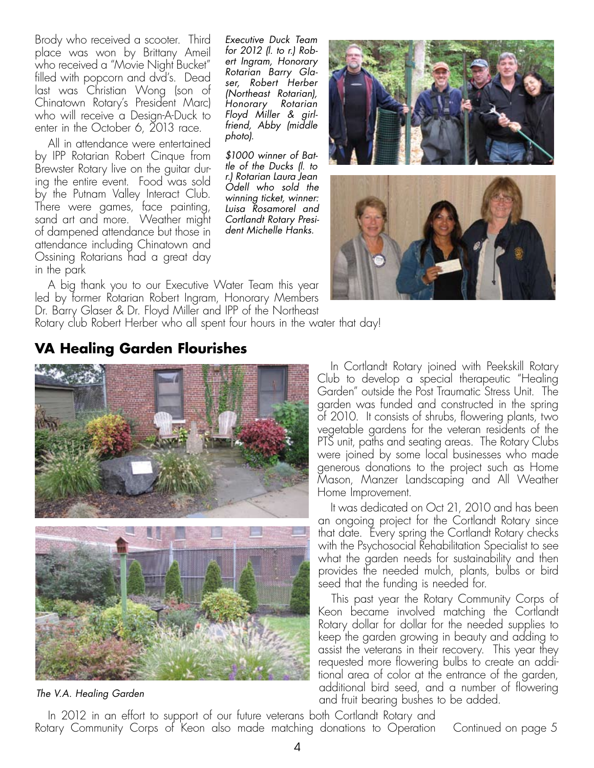Brody who received a scooter. Third place was won by Brittany Ameil who received a "Movie Night Bucket" filled with popcorn and dvd's. Dead last was Christian Wong (son of Chinatown Rotary's President Marc) who will receive a Design-A-Duck to enter in the October 6, 2013 race.

All in attendance were entertained by IPP Rotarian Robert Cinque from Brewster Rotary live on the guitar during the entire event. Food was sold by the Putnam Valley Interact Club. There were games, face painting, sand art and more. Weather might of dampened attendance but those in attendance including Chinatown and Ossining Rotarians had a great day in the park

*Executive Duck Team for 2012 (l. to r.) Robert Ingram, Honorary Rotarian Barry Glaser, Robert Herber (Northeast Rotarian), Honorary Rotarian Floyd Miller & girlfriend, Abby (middle photo).*

*\$1000 winner of Battle of the Ducks (l. to r.) Rotarian Laura Jean Odell who sold the winning ticket, winner: Luisa Rosamorel and Cortlandt Rotary President Michelle Hanks.*



A big thank you to our Executive Water Team this year led by former Rotarian Robert Ingram, Honorary Members Dr. Barry Glaser & Dr. Floyd Miller and IPP of the Northeast

Rotary club Robert Herber who all spent four hours in the water that day!

### **VA Healing Garden Flourishes**



*The V.A. Healing Garden*

In Cortlandt Rotary joined with Peekskill Rotary Club to develop a special therapeutic "Healing Garden" outside the Post Traumatic Stress Unit. The garden was funded and constructed in the spring of 2010. It consists of shrubs, flowering plants, two vegetable gardens for the veteran residents of the PTS unit, paths and seating areas. The Rotary Clubs were joined by some local businesses who made generous donations to the project such as Home Mason, Manzer Landscaping and All Weather Home Improvement.

It was dedicated on Oct 21, 2010 and has been an ongoing project for the Cortlandt Rotary since that date. Every spring the Cortlandt Rotary checks with the Psychosocial Rehabilitation Specialist to see what the garden needs for sustainability and then provides the needed mulch, plants, bulbs or bird seed that the funding is needed for.

This past year the Rotary Community Corps of Keon became involved matching the Cortlandt Rotary dollar for dollar for the needed supplies to keep the garden growing in beauty and adding to assist the veterans in their recovery. This year they requested more flowering bulbs to create an additional area of color at the entrance of the garden, additional bird seed, and a number of flowering and fruit bearing bushes to be added.

In 2012 in an effort to support of our future veterans both Cortlandt Rotary and Rotary Community Corps of Keon also made matching donations to Operation Continued on page 5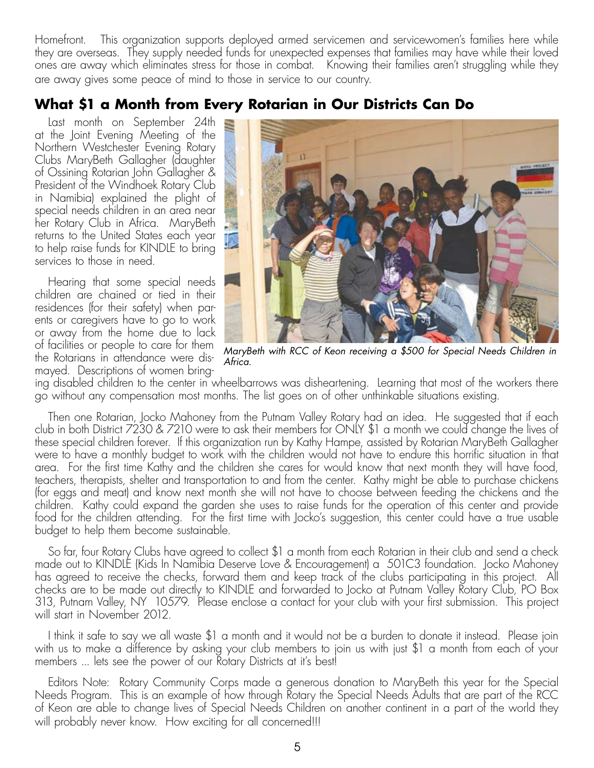Homefront. This organization supports deployed armed servicemen and servicewomen's families here while they are overseas. They supply needed funds for unexpected expenses that families may have while their loved ones are away which eliminates stress for those in combat. Knowing their families aren't struggling while they are away gives some peace of mind to those in service to our country.

### **What \$1 a Month from Every Rotarian in Our Districts Can Do**

Last month on September 24th at the Joint Evening Meeting of the Northern Westchester Evening Rotary Clubs MaryBeth Gallagher (daughter of Ossining Rotarian John Gallagher & President of the Windhoek Rotary Club in Namibia) explained the plight of special needs children in an area near her Rotary Club in Africa. MaryBeth returns to the United States each year to help raise funds for KINDLE to bring services to those in need.

Hearing that some special needs children are chained or tied in their residences (for their safety) when parents or caregivers have to go to work or away from the home due to lack of facilities or people to care for them the Rotarians in attendance were dismayed. Descriptions of women bring-



*MaryBeth with RCC of Keon receiving a \$500 for Special Needs Children in Africa.*

ing disabled children to the center in wheelbarrows was disheartening. Learning that most of the workers there go without any compensation most months. The list goes on of other unthinkable situations existing.

Then one Rotarian, Jocko Mahoney from the Putnam Valley Rotary had an idea. He suggested that if each club in both District 7230 & 7210 were to ask their members for ONLY \$1 a month we could change the lives of these special children forever. If this organization run by Kathy Hampe, assisted by Rotarian MaryBeth Gallagher were to have a monthly budget to work with the children would not have to endure this horrific situation in that area. For the first time Kathy and the children she cares for would know that next month they will have food, teachers, therapists, shelter and transportation to and from the center. Kathy might be able to purchase chickens (for eggs and meat) and know next month she will not have to choose between feeding the chickens and the children. Kathy could expand the garden she uses to raise funds for the operation of this center and provide food for the children attending. For the first time with Jocko's suggestion, this center could have a true usable budget to help them become sustainable.

So far, four Rotary Clubs have agreed to collect \$1 a month from each Rotarian in their club and send a check made out to KINDLE (Kids In Namibia Deserve Love & Encouragement) a 501C3 foundation. Jocko Mahoney has agreed to receive the checks, forward them and keep track of the clubs participating in this project. All checks are to be made out directly to KINDLE and forwarded to Jocko at Putnam Valley Rotary Club, PO Box 313, Putnam Valley, NY 10579. Please enclose a contact for your club with your first submission. This project will start in November 2012.

I think it safe to say we all waste \$1 a month and it would not be a burden to donate it instead. Please join with us to make a difference by asking your club members to join us with just \$1 a month from each of your members ... lets see the power of our Rotary Districts at it's best!

Editors Note: Rotary Community Corps made a generous donation to MaryBeth this year for the Special Needs Program. This is an example of how through Rotary the Special Needs Adults that are part of the RCC of Keon are able to change lives of Special Needs Children on another continent in a part of the world they will probably never know. How exciting for all concerned!!!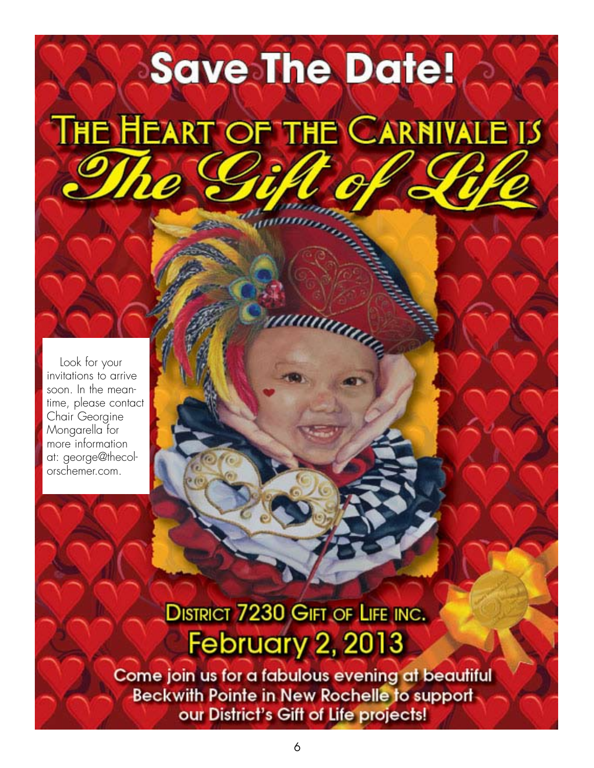## **Save The Date!**

# THE HEART OF THE CARNIVALE IS

uuum

Look for your invitations to arrive soon. In the meantime, please contact Chair Georgine Mongarella for more information at: george@thecolorschemer.com.

### **DISTRICT 7230 GIFT OF LIFE INC. February 2, 2013**

Come join us for a fabulous evening at beautiful Beckwith Pointe in New Rochelle to supportour District's Gift of Life projects!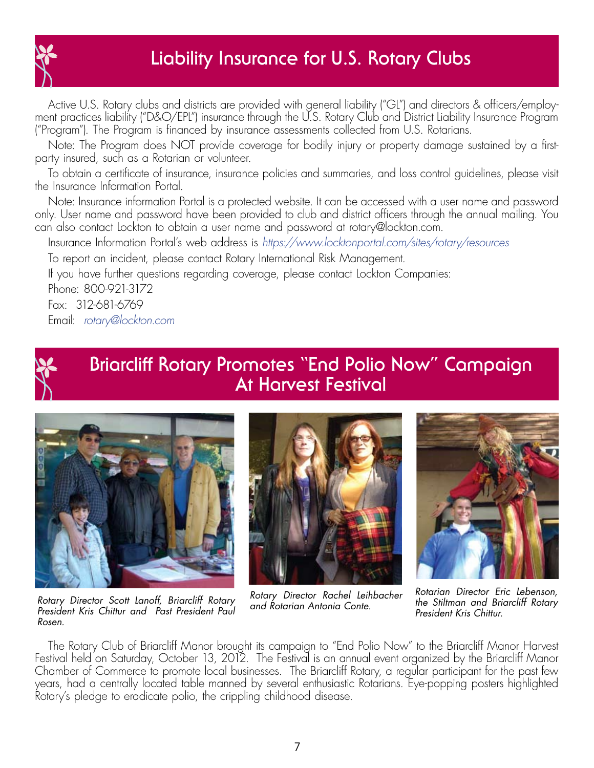

### **Liability Insurance for U.S. Rotary Clubs**

Active U.S. Rotary clubs and districts are provided with general liability ("GL") and directors & officers/employment practices liability ("D&O/EPL") insurance through the U.S. Rotary Club and District Liability Insurance Program ("Program"). The Program is financed by insurance assessments collected from U.S. Rotarians.

Note: The Program does NOT provide coverage for bodily injury or property damage sustained by a firstparty insured, such as a Rotarian or volunteer.

To obtain a certificate of insurance, insurance policies and summaries, and loss control guidelines, please visit the Insurance Information Portal.

Note: Insurance information Portal is a protected website. It can be accessed with a user name and password only. User name and password have been provided to club and district officers through the annual mailing. You can also contact Lockton to obtain a user name and password at rotary@lockton.com.

Insurance Information Portal's web address is *https://www.locktonportal.com/sites/rotary/resources* 

To report an incident, please contact Rotary International Risk Management.

If you have further questions regarding coverage, please contact Lockton Companies:

Phone: 800-921-3172

Fax: 312-681-6769

Email: *rotary@lockton.com*



### **Briarcliff Rotary Promotes "End Polio Now" Campaign At Harvest Festival**



*Rotary Director Scott Lanoff, Briarcliff Rotary President Kris Chittur and Past President Paul Rosen.*



*Rotary Director Rachel Leihbacher and Rotarian Antonia Conte.*



*Rotarian Director Eric Lebenson, the Stiltman and Briarcliff Rotary President Kris Chittur.*

The Rotary Club of Briarcliff Manor brought its campaign to "End Polio Now" to the Briarcliff Manor Harvest Festival held on Saturday, October 13, 2012. The Festival is an annual event organized by the Briarcliff Manor Chamber of Commerce to promote local businesses. The Briarcliff Rotary, a regular participant for the past few years, had a centrally located table manned by several enthusiastic Rotarians. Eye-popping posters highlighted Rotary's pledge to eradicate polio, the crippling childhood disease.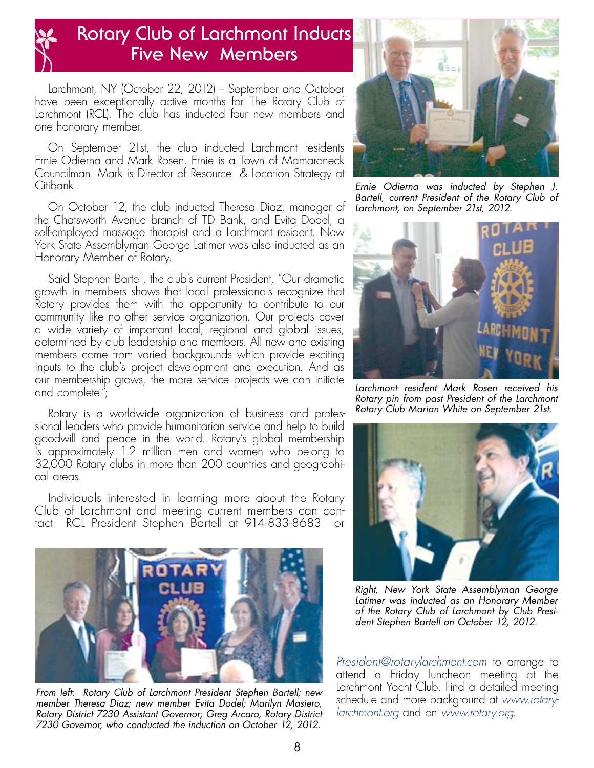

### **Rotary Club of Larchmont Inducts Five New Members**

Larchmont, NY (October 22, 2012) - September and October have been exceptionally active months for The Rotary Club of Larchmont (RCL). The club has inducted four new members and one honorary member.

On September 21st, the club inducted Larchmont residents Ernie Odierna and Mark Rosen. Ernie is a Town of Mamaroneck Councilman. Mark is Director of Resource & Location Strategy at Citibank.

On October 12, the club inducted Theresa Diaz, manager of the Chatsworth Avenue branch of TD Bank, and Evita Dodel, a self-employed massage therapist and a Larchmont resident. New York State Assemblyman George Latimer was also inducted as an Honorary Member of Rotary.

Said Stephen Bartell, the club's current President, "Our dramatic growth in members shows that local professionals recognize that Rotary provides them with the opportunity to contribute to our community like no other service organization. Our projects cover a wide variety of important local, regional and global issues, determined by club leadership and members. All new and existing members come from varied backgrounds which provide exciting inputs to the club's project development and execution. And as our membership grows, the more service projects we can initiate and complete.";

Rotary is a worldwide organization of business and professional leaders who provide humanitarian service and help to build goodwill and peace in the world. Rotary's global membership is approximately 1.2 million men and women who belong to 32,000 Rotary clubs in more than 200 countries and geographical areas.

Individuals interested in learning more about the Rotary Club of Larchmont and meeting current members can contact RCL President Stephen Bartell at 914-833-8683 or



*From left: Rotary Club of Larchmont President Stephen Bartell; new member Theresa Diaz; new member Evita Dodel; Marilyn Masiero, Rotary District 7230 Assistant Governor; Greg Arcaro, Rotary District 7230 Governor, who conducted the induction on October 12, 2012.*



*Ernie Odierna was inducted by Stephen J. Bartell, current President of the Rotary Club of Larchmont, on September 21st, 2012.*



*Larchmont resident Mark Rosen received his Rotary pin from past President of the Larchmont Rotary Club Marian White on September 21st.*



*Right, New York State Assemblyman George Latimer was inducted as an Honorary Member of the Rotary Club of Larchmont by Club President Stephen Bartell on October 12, 2012.* 

*President@rotarylarchmont.com* to arrange to attend a Friday luncheon meeting at the Larchmont Yacht Club. Find a detailed meeting schedule and more background at *www.rotarylarchmont.org* and on *www.rotary.org*.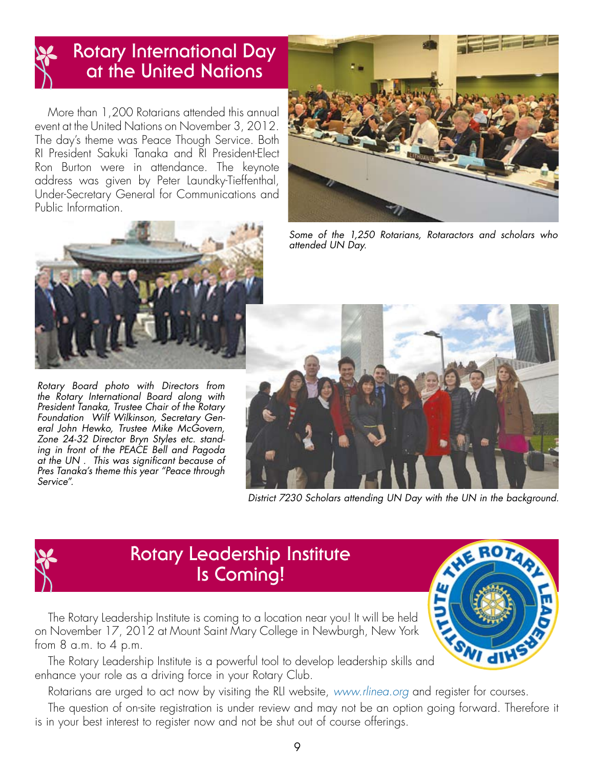### **Rotary International Day at the United Nations**

More than 1,200 Rotarians attended this annual event at the United Nations on November 3, 2012. The day's theme was Peace Though Service. Both RI President Sakuki Tanaka and RI President-Elect Ron Burton were in attendance. The keynote address was given by Peter Laundky-Tieffenthal, Under-Secretary General for Communications and Public Information.



*Some of the 1,250 Rotarians, Rotaractors and scholars who attended UN Day.*



*Rotary Board photo with Directors from the Rotary International Board along with President Tanaka, Trustee Chair of the Rotary Foundation Wilf Wilkinson, Secretary General John Hewko, Trustee Mike McGovern, Zone 24-32 Director Bryn Styles etc. standing in front of the PEACE Bell and Pagoda at the UN . This was significant because of Pres Tanaka's theme this year "Peace through Service".*



*District 7230 Scholars attending UN Day with the UN in the background.*



### **Rotary Leadership Institute Is Coming!**

The Rotary Leadership Institute is coming to a location near you! It will be held on November 17, 2012 at Mount Saint Mary College in Newburgh, New York from  $8$  a.m. to  $4$  p.m.

The Rotary Leadership Institute is a powerful tool to develop leadership skills and enhance your role as a driving force in your Rotary Club.

Rotarians are urged to act now by visiting the RLI website, *www.rlinea.org* and register for courses.

The question of on-site registration is under review and may not be an option going forward. Therefore it is in your best interest to register now and not be shut out of course offerings.